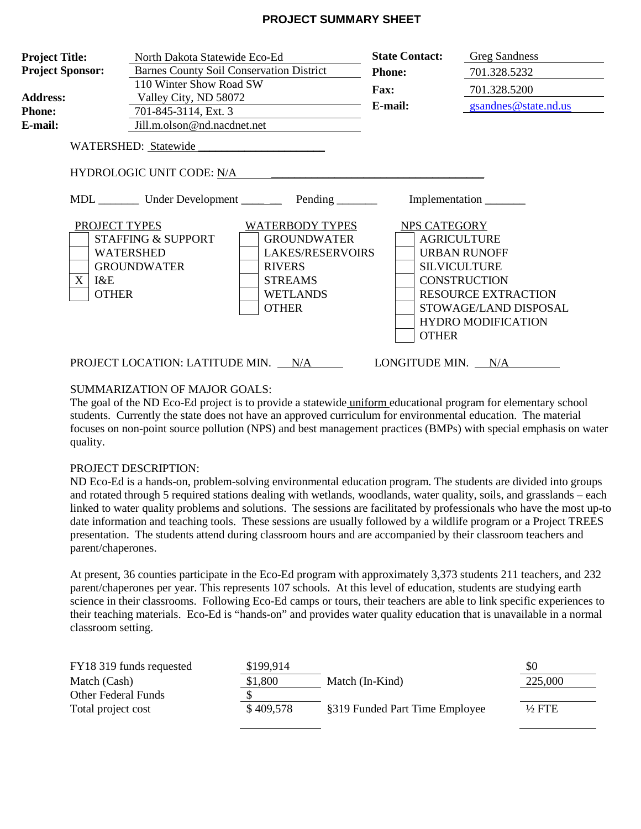### **PROJECT SUMMARY SHEET**

| <b>Project Title:</b><br>North Dakota Statewide Eco-Ed<br><b>Project Sponsor:</b><br><b>Barnes County Soil Conservation District</b><br>110 Winter Show Road SW<br><b>Address:</b><br>Valley City, ND 58072<br><b>Phone:</b><br>701-845-3114, Ext. 3<br>Jill.m.olson@nd.nacdnet.net<br>E-mail: |                                                                                                                                                      |                                                                                                                                                                                                        | <b>State Contact:</b><br><b>Phone:</b><br>Fax:<br>E-mail: | <b>Greg Sandness</b><br>701.328.5232<br>701.328.5200<br>gsandnes@state.nd.us                                                                   |
|------------------------------------------------------------------------------------------------------------------------------------------------------------------------------------------------------------------------------------------------------------------------------------------------|------------------------------------------------------------------------------------------------------------------------------------------------------|--------------------------------------------------------------------------------------------------------------------------------------------------------------------------------------------------------|-----------------------------------------------------------|------------------------------------------------------------------------------------------------------------------------------------------------|
| $X_{\mathcal{C}}$<br>I&E<br><b>OTHER</b>                                                                                                                                                                                                                                                       | WATERSHED: Statewide<br><b>HYDROLOGIC UNIT CODE: N/A</b><br>PROJECT TYPES<br><b>STAFFING &amp; SUPPORT</b><br><b>WATERSHED</b><br><b>GROUNDWATER</b> | MDL _________ Under Development ___________ Pending ________<br>WATERBODY TYPES<br><b>GROUNDWATER</b><br><b>LAKES/RESERVOIRS</b><br><b>RIVERS</b><br><b>STREAMS</b><br><b>WETLANDS</b><br><b>OTHER</b> | NPS CATEGORY                                              | <b>AGRICULTURE</b><br><b>URBAN RUNOFF</b><br><b>SILVICULTURE</b><br><b>CONSTRUCTION</b><br><b>RESOURCE EXTRACTION</b><br>STOWAGE/LAND DISPOSAL |
|                                                                                                                                                                                                                                                                                                |                                                                                                                                                      | PROJECT LOCATION: LATITUDE MIN. N/A                                                                                                                                                                    | <b>OTHER</b><br>LONGITUDE MIN. N/A                        | <b>HYDRO MODIFICATION</b>                                                                                                                      |

### SUMMARIZATION OF MAJOR GOALS:

The goal of the ND Eco-Ed project is to provide a statewide uniform educational program for elementary school students. Currently the state does not have an approved curriculum for environmental education. The material focuses on non-point source pollution (NPS) and best management practices (BMPs) with special emphasis on water quality.

### PROJECT DESCRIPTION:

ND Eco-Ed is a hands-on, problem-solving environmental education program. The students are divided into groups and rotated through 5 required stations dealing with wetlands, woodlands, water quality, soils, and grasslands – each linked to water quality problems and solutions. The sessions are facilitated by professionals who have the most up-to date information and teaching tools. These sessions are usually followed by a wildlife program or a Project TREES presentation. The students attend during classroom hours and are accompanied by their classroom teachers and parent/chaperones.

At present, 36 counties participate in the Eco-Ed program with approximately 3,373 students 211 teachers, and 232 parent/chaperones per year. This represents 107 schools. At this level of education, students are studying earth science in their classrooms. Following Eco-Ed camps or tours, their teachers are able to link specific experiences to their teaching materials. Eco-Ed is "hands-on" and provides water quality education that is unavailable in a normal classroom setting.

| FY18 319 funds requested | \$199,914 |                                | \$0               |
|--------------------------|-----------|--------------------------------|-------------------|
| Match (Cash)             | \$1,800   | Match (In-Kind)                | 225,000           |
| Other Federal Funds      |           |                                |                   |
| Total project cost       | \$409,578 | §319 Funded Part Time Employee | $\frac{1}{2}$ FTE |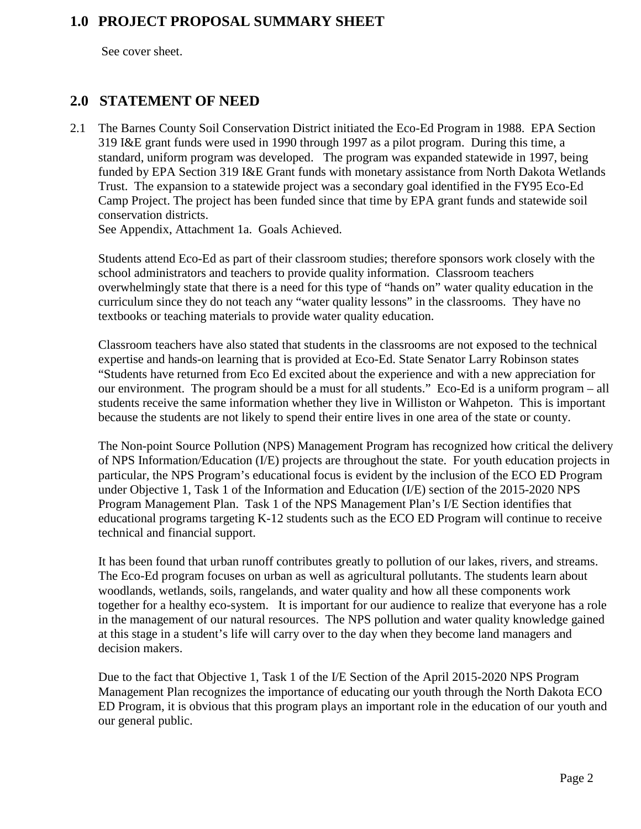### **1.0 PROJECT PROPOSAL SUMMARY SHEET**

See cover sheet.

### **2.0 STATEMENT OF NEED**

2.1 The Barnes County Soil Conservation District initiated the Eco-Ed Program in 1988. EPA Section 319 I&E grant funds were used in 1990 through 1997 as a pilot program. During this time, a standard, uniform program was developed. The program was expanded statewide in 1997, being funded by EPA Section 319 I&E Grant funds with monetary assistance from North Dakota Wetlands Trust. The expansion to a statewide project was a secondary goal identified in the FY95 Eco-Ed Camp Project. The project has been funded since that time by EPA grant funds and statewide soil conservation districts.

See Appendix, Attachment 1a. Goals Achieved.

Students attend Eco-Ed as part of their classroom studies; therefore sponsors work closely with the school administrators and teachers to provide quality information. Classroom teachers overwhelmingly state that there is a need for this type of "hands on" water quality education in the curriculum since they do not teach any "water quality lessons" in the classrooms. They have no textbooks or teaching materials to provide water quality education.

Classroom teachers have also stated that students in the classrooms are not exposed to the technical expertise and hands-on learning that is provided at Eco-Ed. State Senator Larry Robinson states "Students have returned from Eco Ed excited about the experience and with a new appreciation for our environment. The program should be a must for all students." Eco-Ed is a uniform program – all students receive the same information whether they live in Williston or Wahpeton. This is important because the students are not likely to spend their entire lives in one area of the state or county.

The Non-point Source Pollution (NPS) Management Program has recognized how critical the delivery of NPS Information/Education (I/E) projects are throughout the state. For youth education projects in particular, the NPS Program's educational focus is evident by the inclusion of the ECO ED Program under Objective 1, Task 1 of the Information and Education (I/E) section of the 2015-2020 NPS Program Management Plan. Task 1 of the NPS Management Plan's I/E Section identifies that educational programs targeting K-12 students such as the ECO ED Program will continue to receive technical and financial support.

It has been found that urban runoff contributes greatly to pollution of our lakes, rivers, and streams. The Eco-Ed program focuses on urban as well as agricultural pollutants. The students learn about woodlands, wetlands, soils, rangelands, and water quality and how all these components work together for a healthy eco-system. It is important for our audience to realize that everyone has a role in the management of our natural resources. The NPS pollution and water quality knowledge gained at this stage in a student's life will carry over to the day when they become land managers and decision makers.

Due to the fact that Objective 1, Task 1 of the I/E Section of the April 2015-2020 NPS Program Management Plan recognizes the importance of educating our youth through the North Dakota ECO ED Program, it is obvious that this program plays an important role in the education of our youth and our general public.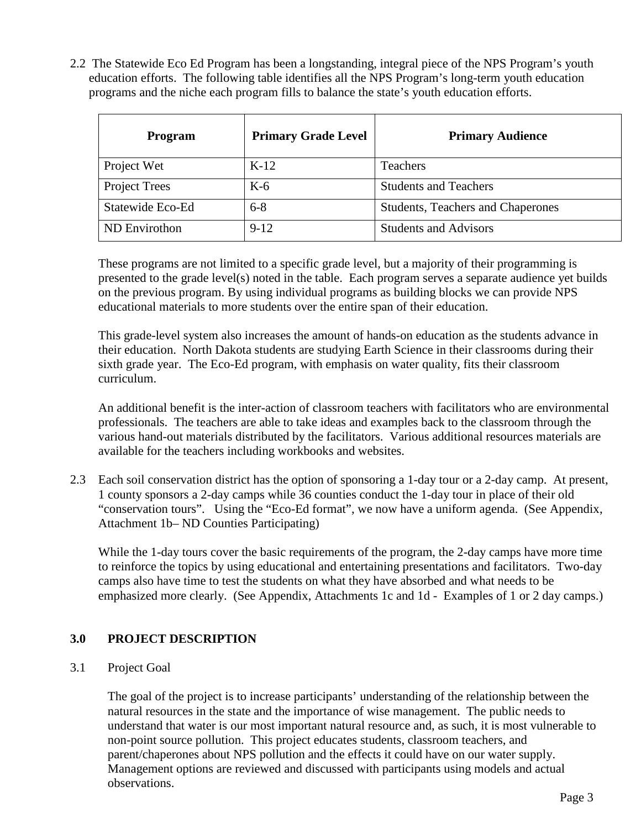2.2 The Statewide Eco Ed Program has been a longstanding, integral piece of the NPS Program's youth education efforts. The following table identifies all the NPS Program's long-term youth education programs and the niche each program fills to balance the state's youth education efforts.

| <b>Program</b>       | <b>Primary Grade Level</b> | <b>Primary Audience</b>                  |
|----------------------|----------------------------|------------------------------------------|
| Project Wet          | $K-12$                     | Teachers                                 |
| <b>Project Trees</b> | $K-6$                      | <b>Students and Teachers</b>             |
| Statewide Eco-Ed     | $6 - 8$                    | <b>Students, Teachers and Chaperones</b> |
| ND Envirothon        | $9-12$                     | <b>Students and Advisors</b>             |

These programs are not limited to a specific grade level, but a majority of their programming is presented to the grade level(s) noted in the table. Each program serves a separate audience yet builds on the previous program. By using individual programs as building blocks we can provide NPS educational materials to more students over the entire span of their education.

This grade-level system also increases the amount of hands-on education as the students advance in their education. North Dakota students are studying Earth Science in their classrooms during their sixth grade year. The Eco-Ed program, with emphasis on water quality, fits their classroom curriculum.

An additional benefit is the inter-action of classroom teachers with facilitators who are environmental professionals. The teachers are able to take ideas and examples back to the classroom through the various hand-out materials distributed by the facilitators. Various additional resources materials are available for the teachers including workbooks and websites.

2.3 Each soil conservation district has the option of sponsoring a 1-day tour or a 2-day camp. At present, 1 county sponsors a 2-day camps while 36 counties conduct the 1-day tour in place of their old "conservation tours". Using the "Eco-Ed format", we now have a uniform agenda. (See Appendix, Attachment 1b– ND Counties Participating)

While the 1-day tours cover the basic requirements of the program, the 2-day camps have more time to reinforce the topics by using educational and entertaining presentations and facilitators. Two-day camps also have time to test the students on what they have absorbed and what needs to be emphasized more clearly. (See Appendix, Attachments 1c and 1d - Examples of 1 or 2 day camps.)

### **3.0 PROJECT DESCRIPTION**

### 3.1 Project Goal

The goal of the project is to increase participants' understanding of the relationship between the natural resources in the state and the importance of wise management. The public needs to understand that water is our most important natural resource and, as such, it is most vulnerable to non-point source pollution. This project educates students, classroom teachers, and parent/chaperones about NPS pollution and the effects it could have on our water supply. Management options are reviewed and discussed with participants using models and actual observations.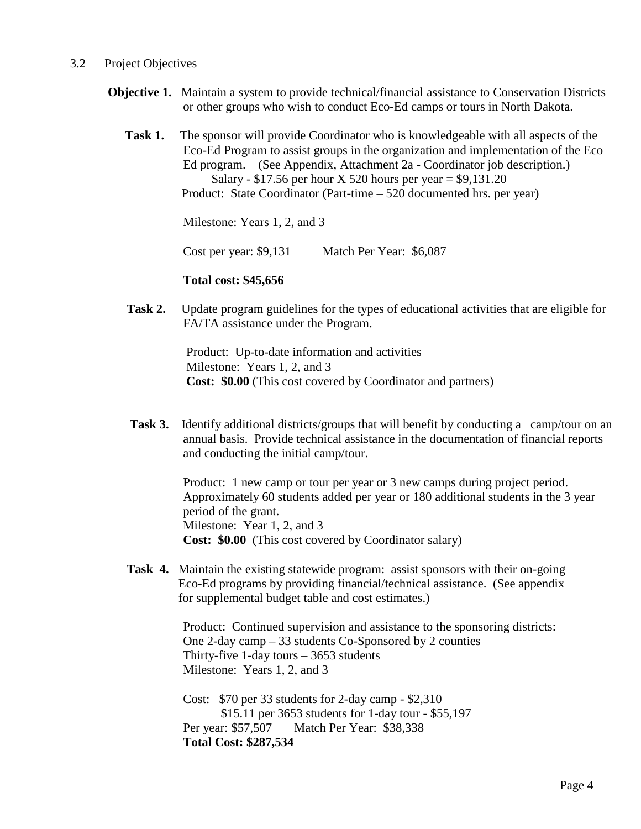### 3.2 Project Objectives

- **Objective 1.** Maintain a system to provide technical/financial assistance to Conservation Districts or other groups who wish to conduct Eco-Ed camps or tours in North Dakota.
	- **Task 1.** The sponsor will provide Coordinator who is knowledgeable with all aspects of the Eco-Ed Program to assist groups in the organization and implementation of the Eco Ed program. (See Appendix, Attachment 2a - Coordinator job description.) Salary - \$17.56 per hour X 520 hours per year  $=$  \$9,131.20 Product: State Coordinator (Part-time – 520 documented hrs. per year)

Milestone: Years 1, 2, and 3

Cost per year: \$9,131 Match Per Year: \$6,087

#### **Total cost: \$45,656**

**Task 2.** Update program guidelines for the types of educational activities that are eligible for FA/TA assistance under the Program.

> Product: Up-to-date information and activities Milestone: Years 1, 2, and 3 **Cost: \$0.00** (This cost covered by Coordinator and partners)

**Task 3.** Identify additional districts/groups that will benefit by conducting a camp/tour on an annual basis. Provide technical assistance in the documentation of financial reports and conducting the initial camp/tour.

> Product: 1 new camp or tour per year or 3 new camps during project period. Approximately 60 students added per year or 180 additional students in the 3 year period of the grant. Milestone: Year 1, 2, and 3 **Cost: \$0.00** (This cost covered by Coordinator salary)

**Task 4.** Maintain the existing statewide program: assist sponsors with their on-going Eco-Ed programs by providing financial/technical assistance. (See appendix for supplemental budget table and cost estimates.)

> Product: Continued supervision and assistance to the sponsoring districts: One 2-day camp – 33 students Co-Sponsored by 2 counties Thirty-five 1-day tours – 3653 students Milestone: Years 1, 2, and 3

 Cost: \$70 per 33 students for 2-day camp - \$2,310 \$15.11 per 3653 students for 1-day tour - \$55,197 Per year: \$57,507 Match Per Year: \$38,338  **Total Cost: \$287,534**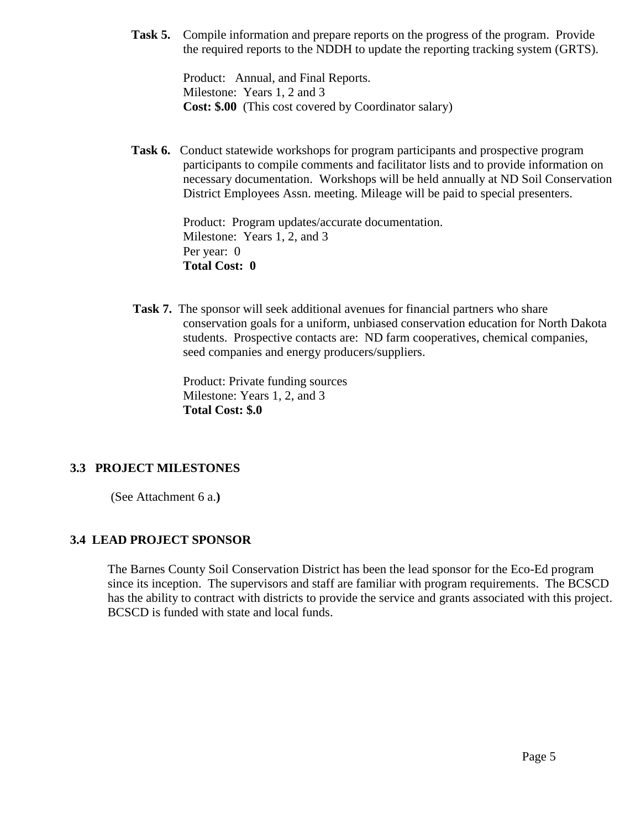**Task 5.** Compile information and prepare reports on the progress of the program. Provide the required reports to the NDDH to update the reporting tracking system (GRTS).

> Product: Annual, and Final Reports. Milestone: Years 1, 2 and 3  **Cost: \$.00** (This cost covered by Coordinator salary)

**Task 6.** Conduct statewide workshops for program participants and prospective program participants to compile comments and facilitator lists and to provide information on necessary documentation. Workshops will be held annually at ND Soil Conservation District Employees Assn. meeting. Mileage will be paid to special presenters.

> Product: Program updates/accurate documentation. Milestone: Years 1, 2, and 3 Per year: 0  **Total Cost: 0**

 **Task 7.** The sponsor will seek additional avenues for financial partners who share conservation goals for a uniform, unbiased conservation education for North Dakota students. Prospective contacts are: ND farm cooperatives, chemical companies, seed companies and energy producers/suppliers.

> Product: Private funding sources Milestone: Years 1, 2, and 3 **Total Cost: \$.0**

### **3.3 PROJECT MILESTONES**

(See Attachment 6 a.**)**

### **3.4 LEAD PROJECT SPONSOR**

The Barnes County Soil Conservation District has been the lead sponsor for the Eco-Ed program since its inception. The supervisors and staff are familiar with program requirements. The BCSCD has the ability to contract with districts to provide the service and grants associated with this project. BCSCD is funded with state and local funds.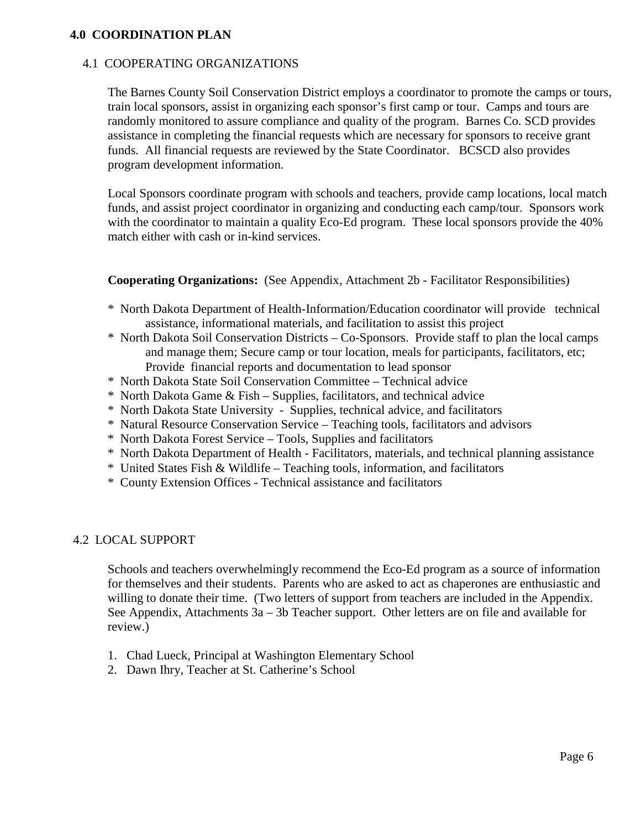### **4.0 COORDINATION PLAN**

### 4.1 COOPERATING ORGANIZATIONS

The Barnes County Soil Conservation District employs a coordinator to promote the camps or tours, train local sponsors, assist in organizing each sponsor's first camp or tour. Camps and tours are randomly monitored to assure compliance and quality of the program. Barnes Co. SCD provides assistance in completing the financial requests which are necessary for sponsors to receive grant funds. All financial requests are reviewed by the State Coordinator. BCSCD also provides program development information.

Local Sponsors coordinate program with schools and teachers, provide camp locations, local match funds, and assist project coordinator in organizing and conducting each camp/tour. Sponsors work with the coordinator to maintain a quality Eco-Ed program. These local sponsors provide the 40% match either with cash or in-kind services.

**Cooperating Organizations:** (See Appendix, Attachment 2b - Facilitator Responsibilities)

- \* North Dakota Department of Health-Information/Education coordinator will provide technical assistance, informational materials, and facilitation to assist this project
- \* North Dakota Soil Conservation Districts Co-Sponsors. Provide staff to plan the local camps and manage them; Secure camp or tour location, meals for participants, facilitators, etc; Provide financial reports and documentation to lead sponsor
- \* North Dakota State Soil Conservation Committee Technical advice
- \* North Dakota Game & Fish Supplies, facilitators, and technical advice
- \* North Dakota State University Supplies, technical advice, and facilitators
- \* Natural Resource Conservation Service Teaching tools, facilitators and advisors
- \* North Dakota Forest Service Tools, Supplies and facilitators
- \* North Dakota Department of Health Facilitators, materials, and technical planning assistance
- \* United States Fish & Wildlife Teaching tools, information, and facilitators
- \* County Extension Offices Technical assistance and facilitators

### 4.2 LOCAL SUPPORT

Schools and teachers overwhelmingly recommend the Eco-Ed program as a source of information for themselves and their students. Parents who are asked to act as chaperones are enthusiastic and willing to donate their time. (Two letters of support from teachers are included in the Appendix. See Appendix, Attachments 3a – 3b Teacher support. Other letters are on file and available for review.)

- 1. Chad Lueck, Principal at Washington Elementary School
- 2. Dawn Ihry, Teacher at St. Catherine's School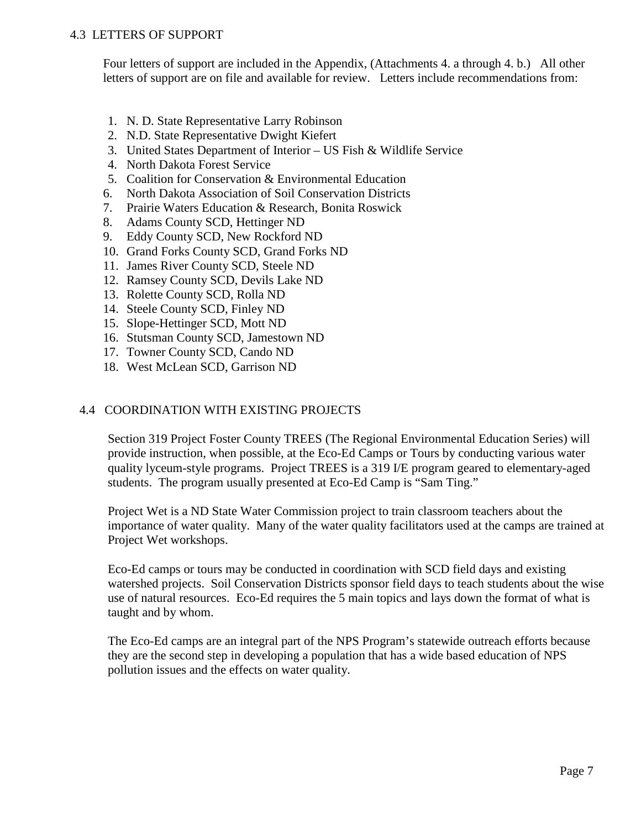### 4.3 LETTERS OF SUPPORT

Four letters of support are included in the Appendix, (Attachments 4. a through 4. b.) All other letters of support are on file and available for review. Letters include recommendations from:

- 1. N. D. State Representative Larry Robinson
- 2. N.D. State Representative Dwight Kiefert
- 3. United States Department of Interior US Fish & Wildlife Service
- 4. North Dakota Forest Service
- 5. Coalition for Conservation & Environmental Education
- 6. North Dakota Association of Soil Conservation Districts
- 7. Prairie Waters Education & Research, Bonita Roswick
- 8. Adams County SCD, Hettinger ND
- 9. Eddy County SCD, New Rockford ND
- 10. Grand Forks County SCD, Grand Forks ND
- 11. James River County SCD, Steele ND
- 12. Ramsey County SCD, Devils Lake ND
- 13. Rolette County SCD, Rolla ND
- 14. Steele County SCD, Finley ND
- 15. Slope-Hettinger SCD, Mott ND
- 16. Stutsman County SCD, Jamestown ND
- 17. Towner County SCD, Cando ND
- 18. West McLean SCD, Garrison ND

### 4.4 COORDINATION WITH EXISTING PROJECTS

Section 319 Project Foster County TREES (The Regional Environmental Education Series) will provide instruction, when possible, at the Eco-Ed Camps or Tours by conducting various water quality lyceum-style programs. Project TREES is a 319 I/E program geared to elementary-aged students. The program usually presented at Eco-Ed Camp is "Sam Ting."

Project Wet is a ND State Water Commission project to train classroom teachers about the importance of water quality. Many of the water quality facilitators used at the camps are trained at Project Wet workshops.

Eco-Ed camps or tours may be conducted in coordination with SCD field days and existing watershed projects. Soil Conservation Districts sponsor field days to teach students about the wise use of natural resources. Eco-Ed requires the 5 main topics and lays down the format of what is taught and by whom.

The Eco-Ed camps are an integral part of the NPS Program's statewide outreach efforts because they are the second step in developing a population that has a wide based education of NPS pollution issues and the effects on water quality.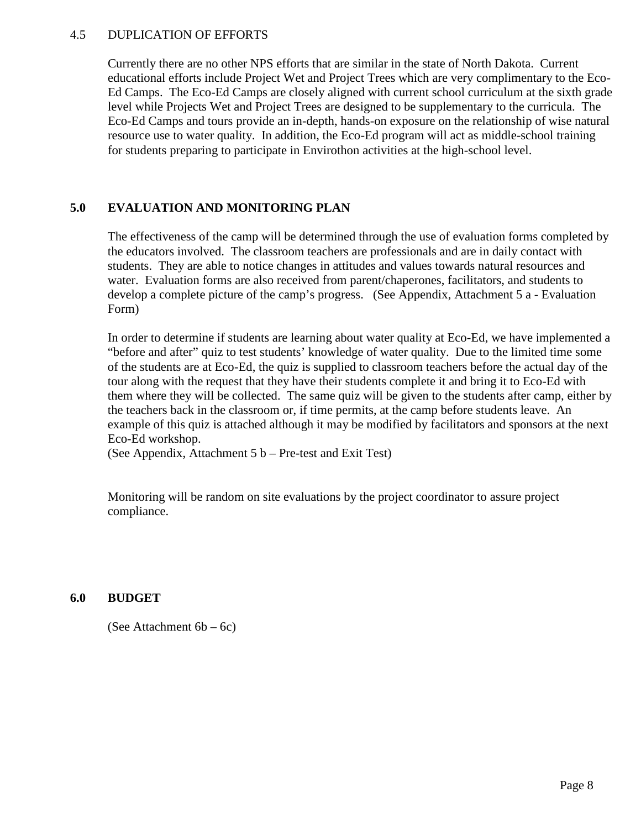### 4.5 DUPLICATION OF EFFORTS

Currently there are no other NPS efforts that are similar in the state of North Dakota. Current educational efforts include Project Wet and Project Trees which are very complimentary to the Eco-Ed Camps. The Eco-Ed Camps are closely aligned with current school curriculum at the sixth grade level while Projects Wet and Project Trees are designed to be supplementary to the curricula. The Eco-Ed Camps and tours provide an in-depth, hands-on exposure on the relationship of wise natural resource use to water quality. In addition, the Eco-Ed program will act as middle-school training for students preparing to participate in Envirothon activities at the high-school level.

### **5.0 EVALUATION AND MONITORING PLAN**

The effectiveness of the camp will be determined through the use of evaluation forms completed by the educators involved. The classroom teachers are professionals and are in daily contact with students. They are able to notice changes in attitudes and values towards natural resources and water. Evaluation forms are also received from parent/chaperones, facilitators, and students to develop a complete picture of the camp's progress. (See Appendix, Attachment 5 a - Evaluation Form)

In order to determine if students are learning about water quality at Eco-Ed, we have implemented a "before and after" quiz to test students' knowledge of water quality. Due to the limited time some of the students are at Eco-Ed, the quiz is supplied to classroom teachers before the actual day of the tour along with the request that they have their students complete it and bring it to Eco-Ed with them where they will be collected. The same quiz will be given to the students after camp, either by the teachers back in the classroom or, if time permits, at the camp before students leave. An example of this quiz is attached although it may be modified by facilitators and sponsors at the next Eco-Ed workshop.

(See Appendix, Attachment 5 b – Pre-test and Exit Test)

Monitoring will be random on site evaluations by the project coordinator to assure project compliance.

### **6.0 BUDGET**

(See Attachment 6b – 6c)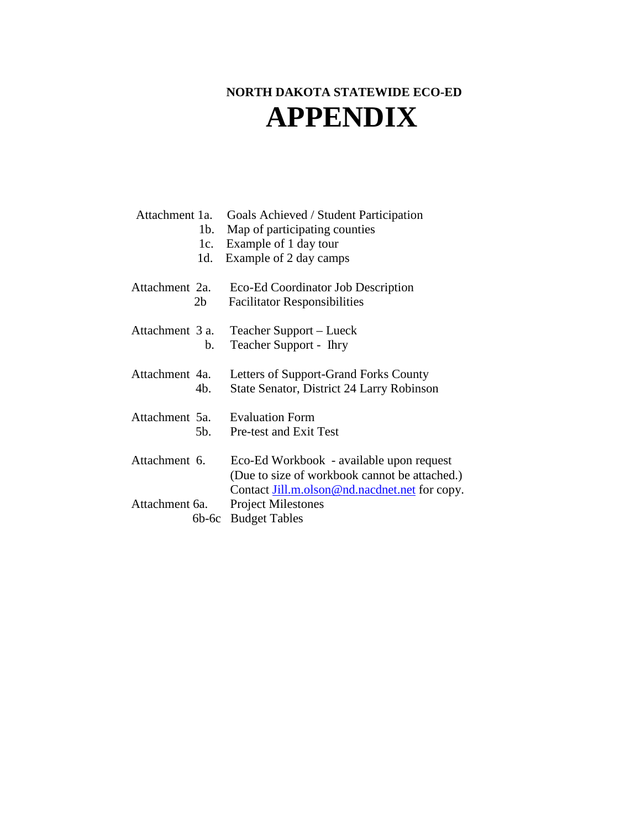# **NORTH DAKOTA STATEWIDE ECO-ED APPENDIX**

| Attachment 1a.            | Goals Achieved / Student Participation                                                             |
|---------------------------|----------------------------------------------------------------------------------------------------|
| $1b$ .                    | Map of participating counties                                                                      |
| 1c.                       | Example of 1 day tour                                                                              |
| 1d.                       | Example of 2 day camps                                                                             |
| Attachment 2a.            | Eco-Ed Coordinator Job Description                                                                 |
| 2 <sub>b</sub>            | <b>Facilitator Responsibilities</b>                                                                |
| Attachment 3 a.           | Teacher Support – Lueck                                                                            |
| $b_{-}$                   | Teacher Support - Ihry                                                                             |
| Attachment 4a.            | Letters of Support-Grand Forks County                                                              |
| 4b.                       | State Senator, District 24 Larry Robinson                                                          |
| Attachment 5a.            | <b>Evaluation Form</b>                                                                             |
| 5b.                       | Pre-test and Exit Test                                                                             |
| Attachment 6.             | Eco-Ed Workbook - available upon request<br>(Due to size of workbook cannot be attached.)          |
| Attachment 6a.<br>$6b-6c$ | Contact Jill.m.olson@nd.nacdnet.net for copy.<br><b>Project Milestones</b><br><b>Budget Tables</b> |
|                           |                                                                                                    |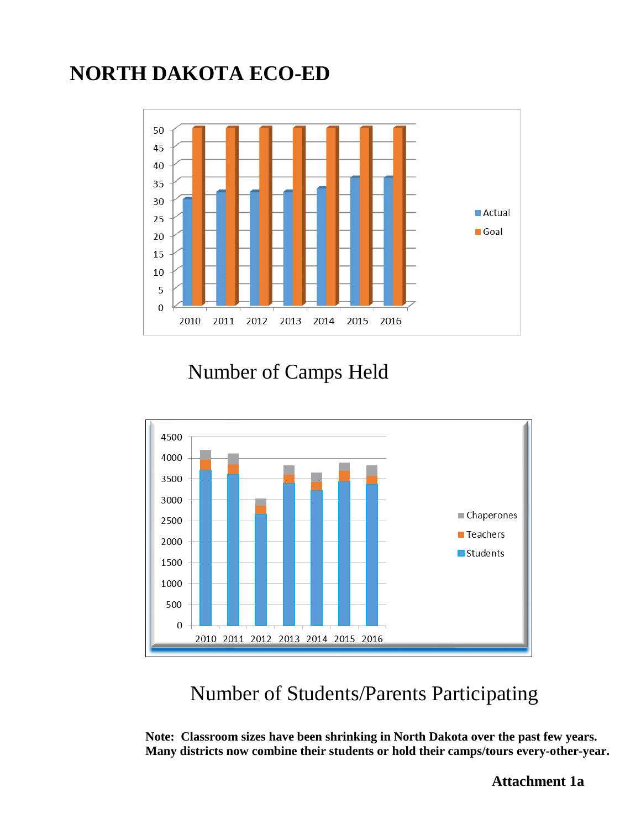# **NORTH DAKOTA ECO-ED**



Number of Camps Held



Number of Students/Parents Participating

**Note: Classroom sizes have been shrinking in North Dakota over the past few years. Many districts now combine their students or hold their camps/tours every-other-year.**

 **Attachment 1a**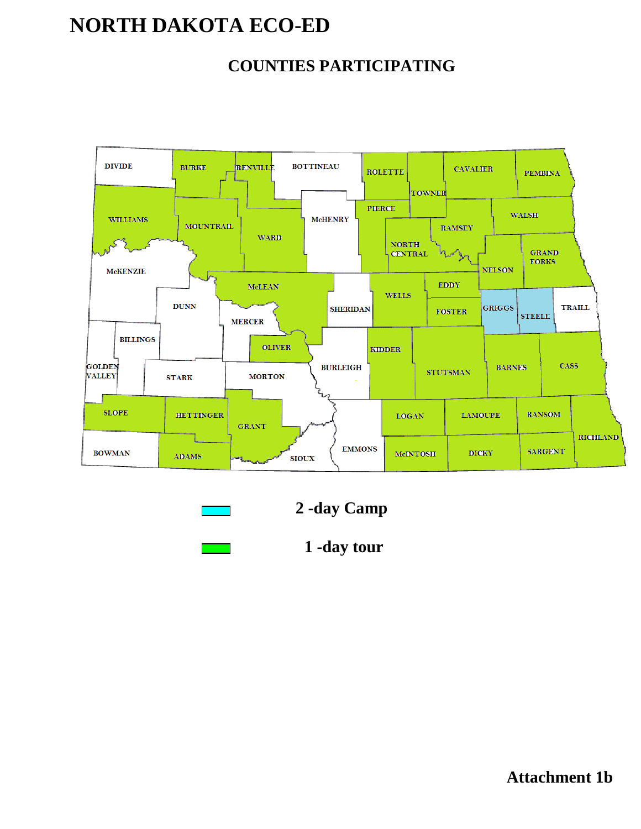# **NORTH DAKOTA ECO-ED**

# **COUNTIES PARTICIPATING**



|  | ٠ |
|--|---|
|--|---|



|  | -day tour |  |
|--|-----------|--|
|--|-----------|--|

**Attachment 1b**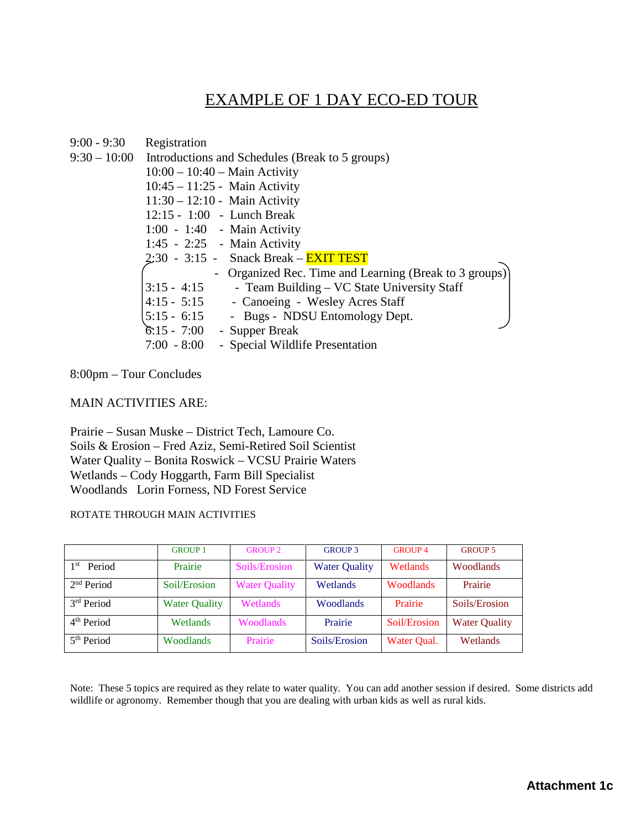# EXAMPLE OF 1 DAY ECO-ED TOUR

| 9:00 - 9:30 | Registration                                                 |
|-------------|--------------------------------------------------------------|
|             | 9:30 – 10:00 Introductions and Schedules (Break to 5 groups) |
|             | $10:00 - 10:40 - \text{Main Activity}$                       |
|             | $10:45 - 11:25$ - Main Activity                              |
|             | $11:30 - 12:10$ - Main Activity                              |
|             | $12:15 - 1:00$ - Lunch Break                                 |
|             | $1:00 - 1:40$ - Main Activity                                |
|             | 1:45 - 2:25 - Main Activity                                  |
|             | $2:30 - 3:15$ - Snack Break – <b>EXIT TEST</b>               |
|             | Organized Rec. Time and Learning (Break to 3 groups)         |
|             | $3:15 - 4:15$<br>- Team Building – VC State University Staff |
|             | 4:15 - 5:15 - Canoeing - Wesley Acres Staff                  |
|             | 5:15 - 6:15 - Bugs - NDSU Entomology Dept.                   |
|             | $6:15 - 7:00$ - Supper Break                                 |
|             | - Special Wildlife Presentation<br>$7:00 - 8:00$             |

8:00pm – Tour Concludes

### MAIN ACTIVITIES ARE:

Prairie – Susan Muske – District Tech, Lamoure Co. Soils & Erosion – Fred Aziz, Semi-Retired Soil Scientist Water Quality – Bonita Roswick – VCSU Prairie Waters Wetlands – Cody Hoggarth, Farm Bill Specialist Woodlands Lorin Forness, ND Forest Service

#### ROTATE THROUGH MAIN ACTIVITIES

|                        | <b>GROUP 1</b>       | <b>GROUP 2</b>       | <b>GROUP 3</b>       | <b>GROUP4</b>    | <b>GROUP 5</b>       |
|------------------------|----------------------|----------------------|----------------------|------------------|----------------------|
| Period<br>1 st         | Prairie              | Soils/Erosion        | <b>Water Quality</b> | Wetlands         | <b>Woodlands</b>     |
| 2 <sup>nd</sup> Period | Soil/Erosion         | <b>Water Quality</b> | Wetlands             | <b>Woodlands</b> | Prairie              |
| 3 <sup>rd</sup> Period | <b>Water Quality</b> | <b>Wetlands</b>      | <b>Woodlands</b>     | Prairie          | Soils/Erosion        |
| 4 <sup>th</sup> Period | Wetlands             | <b>Woodlands</b>     | Prairie              | Soil/Erosion     | <b>Water Quality</b> |
| 5 <sup>th</sup> Period | Woodlands            | Prairie              | Soils/Erosion        | Water Qual.      | Wetlands             |

Note: These 5 topics are required as they relate to water quality. You can add another session if desired. Some districts add wildlife or agronomy. Remember though that you are dealing with urban kids as well as rural kids.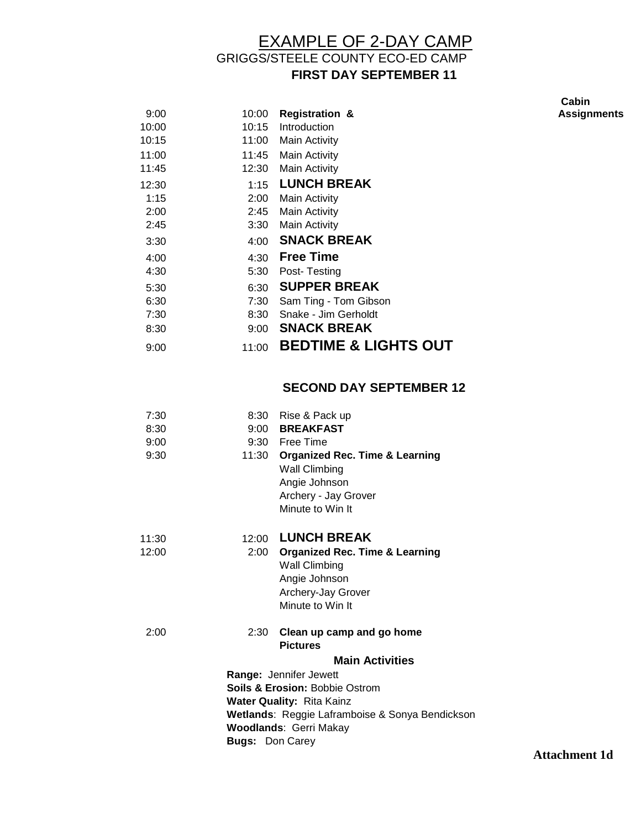# EXAMPLE OF 2-DAY CAMP GRIGGS/STEELE COUNTY ECO-ED CAMP **FIRST DAY SEPTEMBER 11**

9:00 10:00 **Registration &**  10:00 10:15 Introduction 10:15 11:00 Main Activity 11:00 11:45 Main Activity 11:45 12:30 Main Activity 12:30 1:15 **LUNCH BREAK** 1:15 2:00 Main Activity 2:00 2:45 Main Activity 2:45 3:30 Main Activity 3:30 4:00 **SNACK BREAK** 4:00 4:30 **Free Time** 4:30 5:30 Post- Testing 5:30 6:30 **SUPPER BREAK** 6:30 7:30 Sam Ting - Tom Gibson 7:30 8:30 Snake - Jim Gerholdt 8:30 9:00 **SNACK BREAK** 9:00 11:00 **BEDTIME & LIGHTS OUT**

### **SECOND DAY SEPTEMBER 12**

| 7:30<br>8:30<br>9:00 | 9:00                   | 8:30 Rise & Pack up<br><b>BREAKFAST</b><br>9:30 Free Time                                                                                                                         |
|----------------------|------------------------|-----------------------------------------------------------------------------------------------------------------------------------------------------------------------------------|
| 9:30                 | 11:30                  | <b>Organized Rec. Time &amp; Learning</b><br><b>Wall Climbing</b><br>Angie Johnson<br>Archery - Jay Grover<br>Minute to Win It                                                    |
| 11:30<br>12:00       | 2:00                   | 12:00 LUNCH BREAK<br><b>Organized Rec. Time &amp; Learning</b><br><b>Wall Climbing</b><br>Angie Johnson<br>Archery-Jay Grover<br>Minute to Win It                                 |
| 2:00                 | 2:30                   | Clean up camp and go home<br><b>Pictures</b><br><b>Main Activities</b><br>Range: Jennifer Jewett<br><b>Soils &amp; Erosion: Bobbie Ostrom</b><br><b>Water Quality: Rita Kainz</b> |
|                      | <b>Bugs: Don Carey</b> | Wetlands: Reggie Laframboise & Sonya Bendickson<br><b>Woodlands: Gerri Makay</b>                                                                                                  |

**Cabin Assignments**

**Attachment 1d**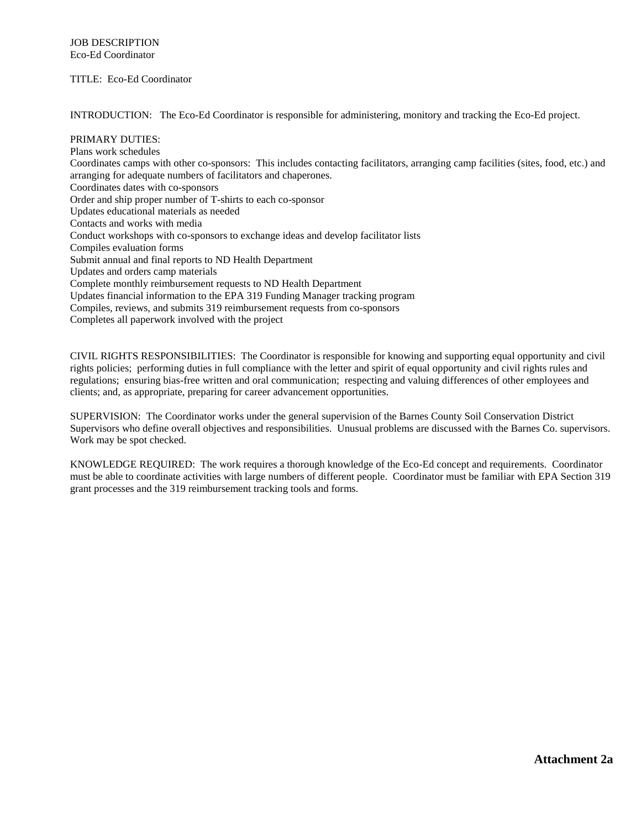#### TITLE: Eco-Ed Coordinator

INTRODUCTION: The Eco-Ed Coordinator is responsible for administering, monitory and tracking the Eco-Ed project.

PRIMARY DUTIES: Plans work schedules Coordinates camps with other co-sponsors: This includes contacting facilitators, arranging camp facilities (sites, food, etc.) and arranging for adequate numbers of facilitators and chaperones. Coordinates dates with co-sponsors Order and ship proper number of T-shirts to each co-sponsor Updates educational materials as needed Contacts and works with media Conduct workshops with co-sponsors to exchange ideas and develop facilitator lists Compiles evaluation forms Submit annual and final reports to ND Health Department Updates and orders camp materials Complete monthly reimbursement requests to ND Health Department Updates financial information to the EPA 319 Funding Manager tracking program Compiles, reviews, and submits 319 reimbursement requests from co-sponsors Completes all paperwork involved with the project

CIVIL RIGHTS RESPONSIBILITIES: The Coordinator is responsible for knowing and supporting equal opportunity and civil rights policies; performing duties in full compliance with the letter and spirit of equal opportunity and civil rights rules and regulations; ensuring bias-free written and oral communication; respecting and valuing differences of other employees and clients; and, as appropriate, preparing for career advancement opportunities.

SUPERVISION: The Coordinator works under the general supervision of the Barnes County Soil Conservation District Supervisors who define overall objectives and responsibilities. Unusual problems are discussed with the Barnes Co. supervisors. Work may be spot checked.

KNOWLEDGE REQUIRED: The work requires a thorough knowledge of the Eco-Ed concept and requirements. Coordinator must be able to coordinate activities with large numbers of different people. Coordinator must be familiar with EPA Section 319 grant processes and the 319 reimbursement tracking tools and forms.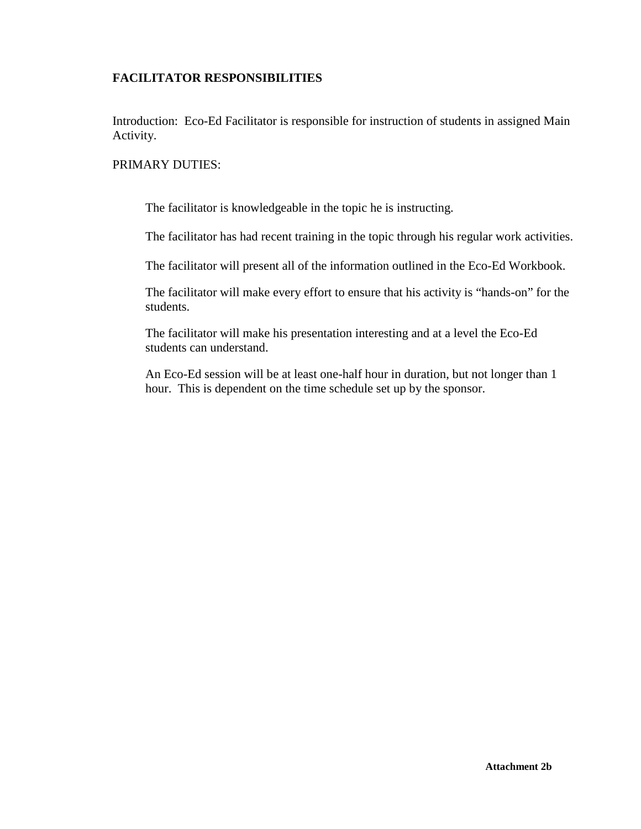### **FACILITATOR RESPONSIBILITIES**

Introduction: Eco-Ed Facilitator is responsible for instruction of students in assigned Main Activity.

### PRIMARY DUTIES:

The facilitator is knowledgeable in the topic he is instructing.

The facilitator has had recent training in the topic through his regular work activities.

The facilitator will present all of the information outlined in the Eco-Ed Workbook.

The facilitator will make every effort to ensure that his activity is "hands-on" for the students.

The facilitator will make his presentation interesting and at a level the Eco-Ed students can understand.

An Eco-Ed session will be at least one-half hour in duration, but not longer than 1 hour. This is dependent on the time schedule set up by the sponsor.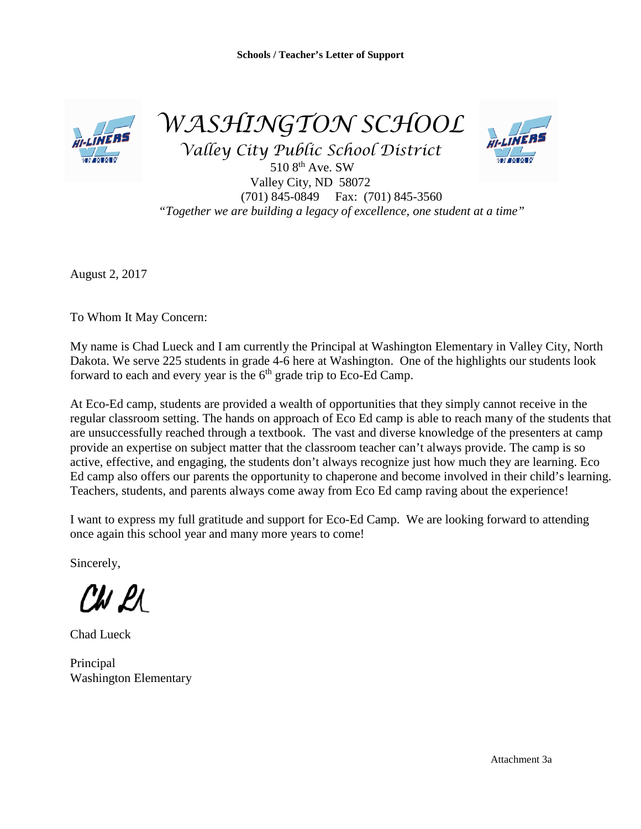

*WASHINGTON SCHOOL*

*Valley City Public School District*



510 8<sup>th</sup> Ave. SW Valley City, ND 58072 (701) 845-0849 Fax: (701) 845-3560 *"Together we are building a legacy of excellence, one student at a time"*

August 2, 2017

To Whom It May Concern:

My name is Chad Lueck and I am currently the Principal at Washington Elementary in Valley City, North Dakota. We serve 225 students in grade 4-6 here at Washington. One of the highlights our students look forward to each and every year is the  $6<sup>th</sup>$  grade trip to Eco-Ed Camp.

At Eco-Ed camp, students are provided a wealth of opportunities that they simply cannot receive in the regular classroom setting. The hands on approach of Eco Ed camp is able to reach many of the students that are unsuccessfully reached through a textbook. The vast and diverse knowledge of the presenters at camp provide an expertise on subject matter that the classroom teacher can't always provide. The camp is so active, effective, and engaging, the students don't always recognize just how much they are learning. Eco Ed camp also offers our parents the opportunity to chaperone and become involved in their child's learning. Teachers, students, and parents always come away from Eco Ed camp raving about the experience!

I want to express my full gratitude and support for Eco-Ed Camp. We are looking forward to attending once again this school year and many more years to come!

Sincerely,

CW LI

Chad Lueck

Principal Washington Elementary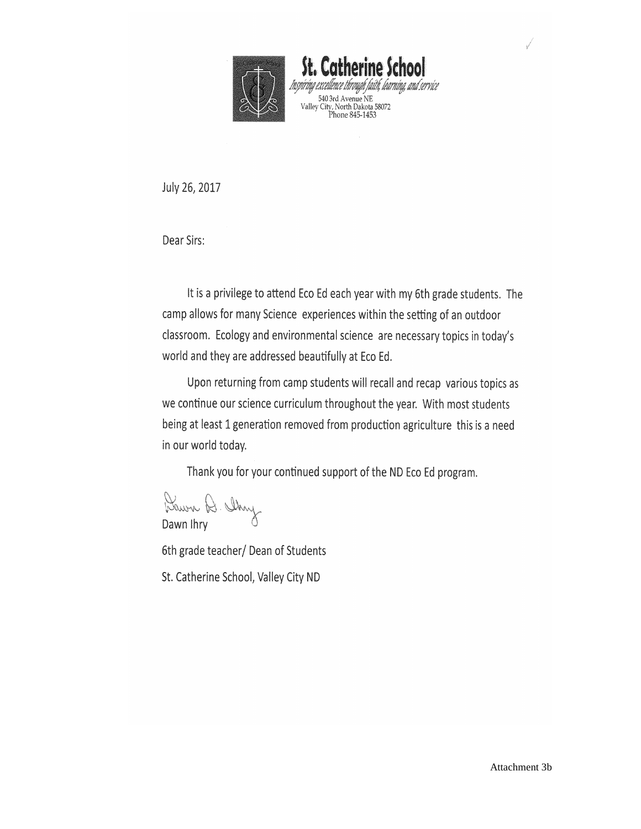

St. Catherine School Insvíring excelli taith, learning, and service 540 3rd Avenue NE<br>Valley City, North Dakota 58072<br>Phone 845-1453

July 26, 2017

Dear Sirs:

It is a privilege to attend Eco Ed each year with my 6th grade students. The camp allows for many Science experiences within the setting of an outdoor classroom. Ecology and environmental science are necessary topics in today's world and they are addressed beautifully at Eco Ed.

Upon returning from camp students will recall and recap various topics as we continue our science curriculum throughout the year. With most students being at least 1 generation removed from production agriculture this is a need in our world today.

Thank you for your continued support of the ND Eco Ed program.

Dawn A. Chry

6th grade teacher/ Dean of Students

St. Catherine School, Valley City ND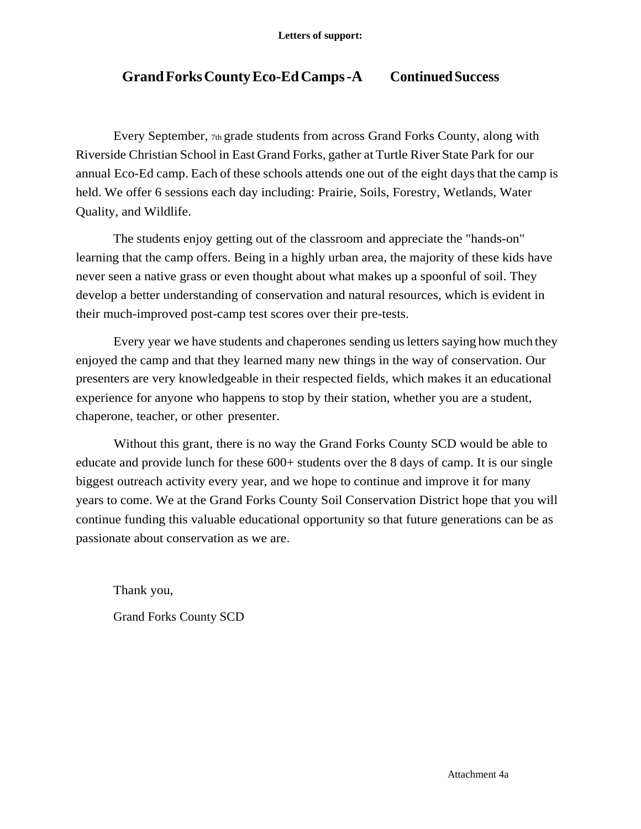## **GrandForksCountyEco-EdCamps-A ContinuedSuccess**

Every September, 7th grade students from across Grand Forks County, along with Riverside Christian School in East Grand Forks, gather at Turtle River State Park for our annual Eco-Ed camp. Each of these schools attends one out of the eight daysthat the camp is held. We offer 6 sessions each day including: Prairie, Soils, Forestry, Wetlands, Water Quality, and Wildlife.

The students enjoy getting out of the classroom and appreciate the "hands-on" learning that the camp offers. Being in a highly urban area, the majority of these kids have never seen a native grass or even thought about what makes up a spoonful of soil. They develop a better understanding of conservation and natural resources, which is evident in their much-improved post-camp test scores over their pre-tests.

Every year we have students and chaperones sending usletters saying how much they enjoyed the camp and that they learned many new things in the way of conservation. Our presenters are very knowledgeable in their respected fields, which makes it an educational experience for anyone who happens to stop by their station, whether you are a student, chaperone, teacher, or other presenter.

Without this grant, there is no way the Grand Forks County SCD would be able to educate and provide lunch for these 600+ students over the 8 days of camp. It is our single biggest outreach activity every year, and we hope to continue and improve it for many years to come. We at the Grand Forks County Soil Conservation District hope that you will continue funding this valuable educational opportunity so that future generations can be as passionate about conservation as we are.

Thank you, Grand Forks County SCD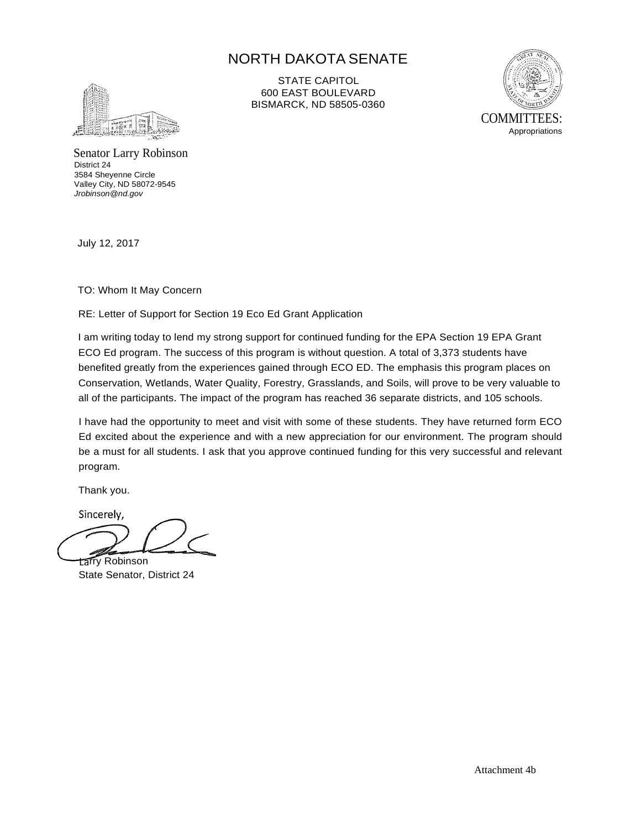## NORTH DAKOTA SENATE



STATE CAPITOL 600 EAST BOULEVARD BISMARCK, ND 58505-0360



Senator Larry Robinson District 24 3584 Sheyenne Circle Valley City, ND 58072-9545 *[Jrobinson@nd.gov](mailto:Jrobinson@nd.gov)*

July 12, 2017

TO: Whom It May Concern

RE: Letter of Support for Section 19 Eco Ed Grant Application

I am writing today to lend my strong support for continued funding for the EPA Section 19 EPA Grant ECO Ed program. The success of this program is without question. A total of 3,373 students have benefited greatly from the experiences gained through ECO ED. The emphasis this program places on Conservation, Wetlands, Water Quality, Forestry, Grasslands, and Soils, will prove to be very valuable to all of the participants. The impact of the program has reached 36 separate districts, and 105 schools.

I have had the opportunity to meet and visit with some of these students. They have returned form ECO Ed excited about the experience and with a new appreciation for our environment. The program should be a must for all students. I ask that you approve continued funding for this very successful and relevant program.

Thank you.

Sincerely,

tarry Robinson State Senator, District 24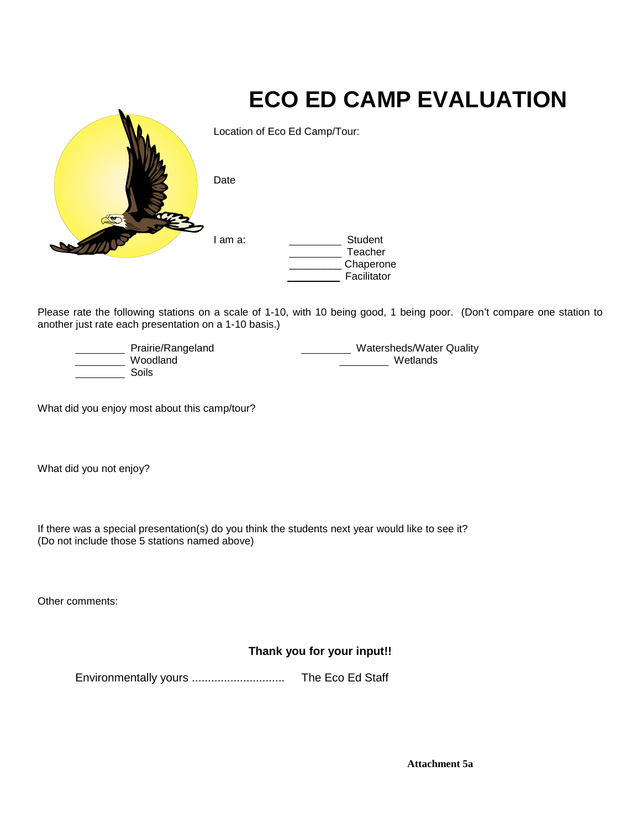# **ECO ED CAMP EVALUATION** Location of Eco Ed Camp/Tour: Date I am a: Student Teacher \_\_\_\_\_\_\_\_\_ Chaperone Facilitator

Please rate the following stations on a scale of 1-10, with 10 being good, 1 being poor. (Don't compare one station to another just rate each presentation on a 1-10 basis.)

| Prairie/Rangeland | <b>Watersheds/Water Quality</b> |
|-------------------|---------------------------------|
| Woodland          | Wetlands                        |
| Soils             |                                 |

What did you enjoy most about this camp/tour?

What did you not enjoy?

If there was a special presentation(s) do you think the students next year would like to see it? (Do not include those 5 stations named above)

Other comments:

### **Thank you for your input!!**

Environmentally yours ............................. The Eco Ed Staff

**Attachment 5a**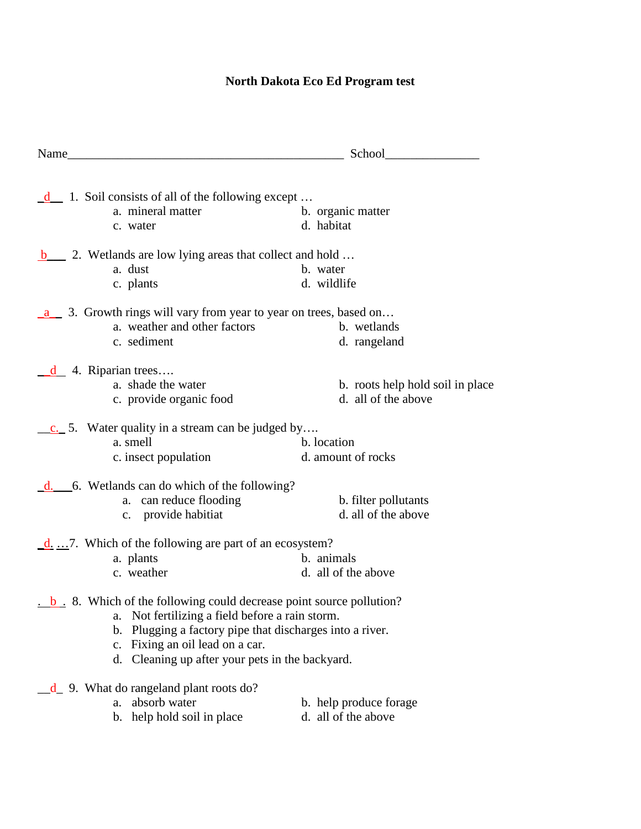# **North Dakota Eco Ed Program test**

| Name School School                                                                                                     |                                  |
|------------------------------------------------------------------------------------------------------------------------|----------------------------------|
|                                                                                                                        |                                  |
| $\underline{\mathbf{d}}$ 1. Soil consists of all of the following except                                               |                                  |
| a. mineral matter                                                                                                      | b. organic matter                |
| c. water                                                                                                               | d. habitat                       |
| b_______ 2. Wetlands are low lying areas that collect and hold                                                         |                                  |
| a. dust                                                                                                                | b. water                         |
| c. plants                                                                                                              | d. wildlife                      |
| a 3. Growth rings will vary from year to year on trees, based on                                                       |                                  |
| a. weather and other factors                                                                                           | b. wetlands                      |
| c. sediment                                                                                                            | d. rangeland                     |
| $\frac{d}{dx}$ 4. Riparian trees                                                                                       |                                  |
| a. shade the water                                                                                                     | b. roots help hold soil in place |
| c. provide organic food                                                                                                | d. all of the above              |
| c. 5. Water quality in a stream can be judged by                                                                       |                                  |
| a. smell                                                                                                               | b. location                      |
| c. insect population                                                                                                   | d. amount of rocks               |
| $\underline{d}$ . 6. Wetlands can do which of the following?                                                           |                                  |
| a. can reduce flooding                                                                                                 | b. filter pollutants             |
| c. provide habitiat                                                                                                    | d. all of the above              |
| $\underline{\mathbf{d}}$ 7. Which of the following are part of an ecosystem?                                           |                                  |
| a. plants                                                                                                              | b. animals                       |
| c. weather                                                                                                             | d. all of the above              |
| $\underline{\phantom{a}}$ b $\underline{\phantom{a}}$ 8. Which of the following could decrease point source pollution? |                                  |
| a. Not fertilizing a field before a rain storm.                                                                        |                                  |
| Plugging a factory pipe that discharges into a river.<br>$\mathbf{b}$ .                                                |                                  |
| Fixing an oil lead on a car.<br>c.                                                                                     |                                  |
| d. Cleaning up after your pets in the backyard.                                                                        |                                  |
| d 9. What do rangeland plant roots do?                                                                                 |                                  |
| absorb water<br>a.                                                                                                     | b. help produce forage           |
| b. help hold soil in place                                                                                             | d. all of the above              |
|                                                                                                                        |                                  |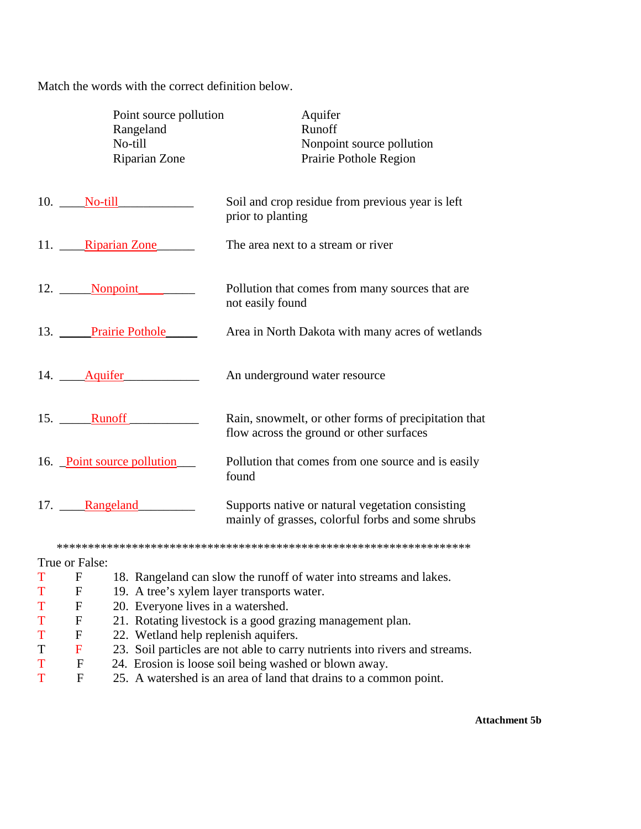Match the words with the correct definition below.

|   | Point source pollution<br>Rangeland<br>No-till<br>Riparian Zone | Aquifer<br>Runoff<br>Nonpoint source pollution<br>Prairie Pothole Region                              |
|---|-----------------------------------------------------------------|-------------------------------------------------------------------------------------------------------|
|   | $10.$ No-till                                                   | Soil and crop residue from previous year is left<br>prior to planting                                 |
|   | 11. Riparian Zone                                               | The area next to a stream or river                                                                    |
|   | 12. Nonpoint                                                    | Pollution that comes from many sources that are<br>not easily found                                   |
|   | 13. Prairie Pothole                                             | Area in North Dakota with many acres of wetlands                                                      |
|   | 14. Aquifer                                                     | An underground water resource                                                                         |
|   | 15. Runoff                                                      | Rain, snowmelt, or other forms of precipitation that<br>flow across the ground or other surfaces      |
|   | 16. Point source pollution                                      | Pollution that comes from one source and is easily<br>found                                           |
|   | 17. Rangeland                                                   | Supports native or natural vegetation consisting<br>mainly of grasses, colorful forbs and some shrubs |
|   |                                                                 |                                                                                                       |
|   | True or False:                                                  |                                                                                                       |
| T | F                                                               | 18. Rangeland can slow the runoff of water into streams and lakes.                                    |

- T F 19. A tree's xylem layer transports water.
- T F 20. Everyone lives in a watershed.
- T F 21. Rotating livestock is a good grazing management plan.<br>
T F 22. Wetland help replenish aquifers.
- T F 22. Wetland help replenish aquifers.<br>T F 23. Soil particles are not able to carry
- T F 23. Soil particles are not able to carry nutrients into rivers and streams.<br>T F 24. Erosion is loose soil being washed or blown away.
- T F 24. Erosion is loose soil being washed or blown away.
- T F 25. A watershed is an area of land that drains to a common point.

**Attachment 5b**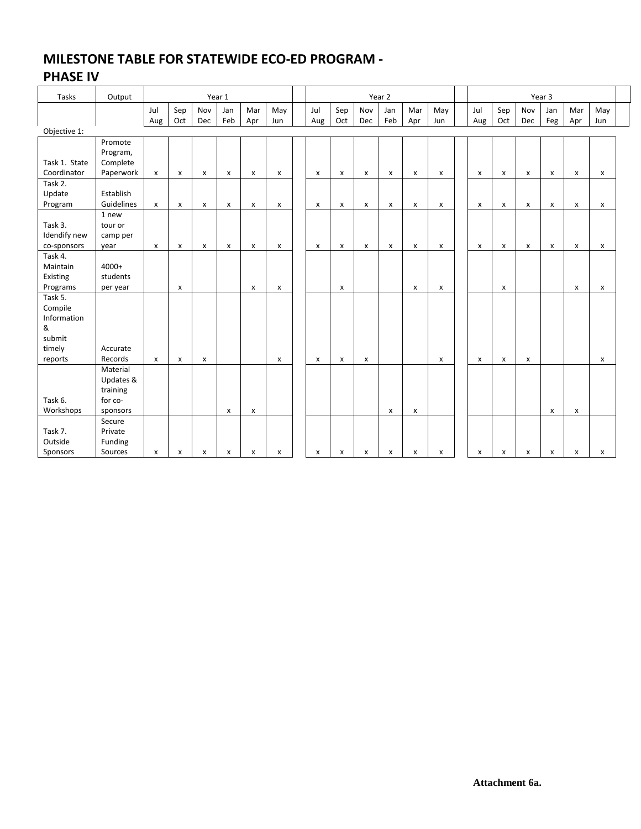### **MILESTONE TABLE FOR STATEWIDE ECO-ED PROGRAM - PHASE IV**

#### Tasks Output Year 1 Year 2 Year 3 Jul Aug Sep Oct Nov Dec Jan Feb Mar Apr May Jun Jul Aug Sep Oct Nov Dec Jan Feb Mar Apr May Jun Jul Aug Sep Oct Nov Dec Jan Feg Mar Apr May Jun Objective 1: Task 1. State Coordinator Promote Program, Complete Paperwork x x x x x x x x x x x x x x x x x x Task 2. Update Program Establish Guidelines x x x x x x x x x x x x x x x x x x Task 3. Idendify new co-sponsors 1 new tour or camp per year x x x x x x x x x x x x x x x x x x Task 4. Maintain Existing Programs 4000+ students per year x x x x x x x x x Task 5. Compile Information & submit timely reports Accurate Records x x x x x x x x x x x x Task 6. Workshops Material Updates & training for cosponsors x x x x x x Task 7. Outside Sponsors **Secure** Private Funding Sources x x x x x x x x x x x x x x x x x x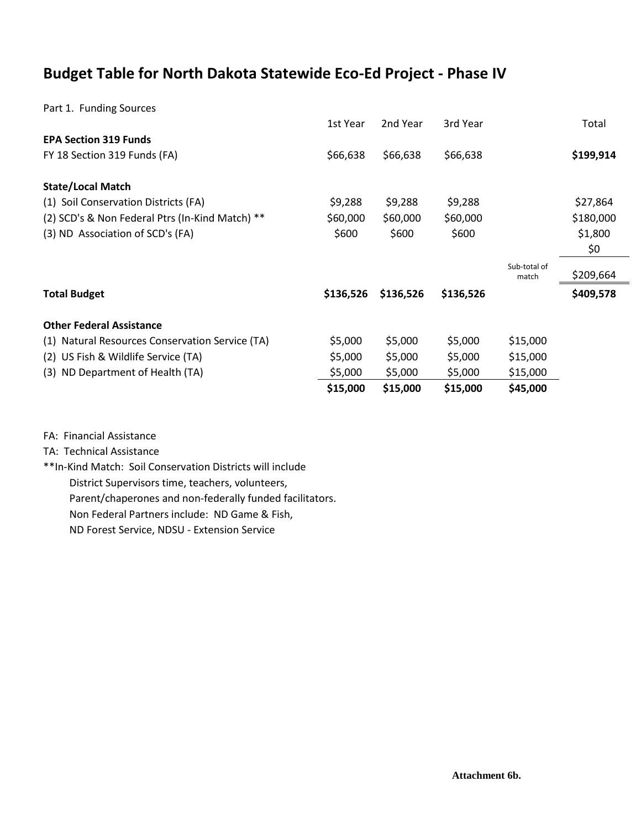# **Budget Table for North Dakota Statewide Eco-Ed Project - Phase IV**

Part 1. Funding Sources

|                                                 | 1st Year  | 2nd Year  | 3rd Year  |                       | Total     |
|-------------------------------------------------|-----------|-----------|-----------|-----------------------|-----------|
| <b>EPA Section 319 Funds</b>                    |           |           |           |                       |           |
| FY 18 Section 319 Funds (FA)                    | \$66,638  | \$66,638  | \$66,638  |                       | \$199,914 |
| <b>State/Local Match</b>                        |           |           |           |                       |           |
| (1) Soil Conservation Districts (FA)            | \$9,288   | \$9,288   | \$9,288   |                       | \$27,864  |
| (2) SCD's & Non Federal Ptrs (In-Kind Match) ** | \$60,000  | \$60,000  | \$60,000  |                       | \$180,000 |
| (3) ND Association of SCD's (FA)                | \$600     | \$600     | \$600     |                       | \$1,800   |
|                                                 |           |           |           |                       | \$0       |
|                                                 |           |           |           | Sub-total of<br>match | \$209,664 |
| <b>Total Budget</b>                             | \$136,526 | \$136,526 | \$136,526 |                       | \$409,578 |
| <b>Other Federal Assistance</b>                 |           |           |           |                       |           |
| (1) Natural Resources Conservation Service (TA) | \$5,000   | \$5,000   | \$5,000   | \$15,000              |           |
| (2) US Fish & Wildlife Service (TA)             | \$5,000   | \$5,000   | \$5,000   | \$15,000              |           |
| (3) ND Department of Health (TA)                | \$5,000   | \$5,000   | \$5,000   | \$15,000              |           |
|                                                 | \$15,000  | \$15,000  | \$15,000  | \$45,000              |           |

FA: Financial Assistance

TA: Technical Assistance

\*\*In-Kind Match: Soil Conservation Districts will include District Supervisors time, teachers, volunteers, Parent/chaperones and non-federally funded facilitators.

Non Federal Partners include: ND Game & Fish,

ND Forest Service, NDSU - Extension Service